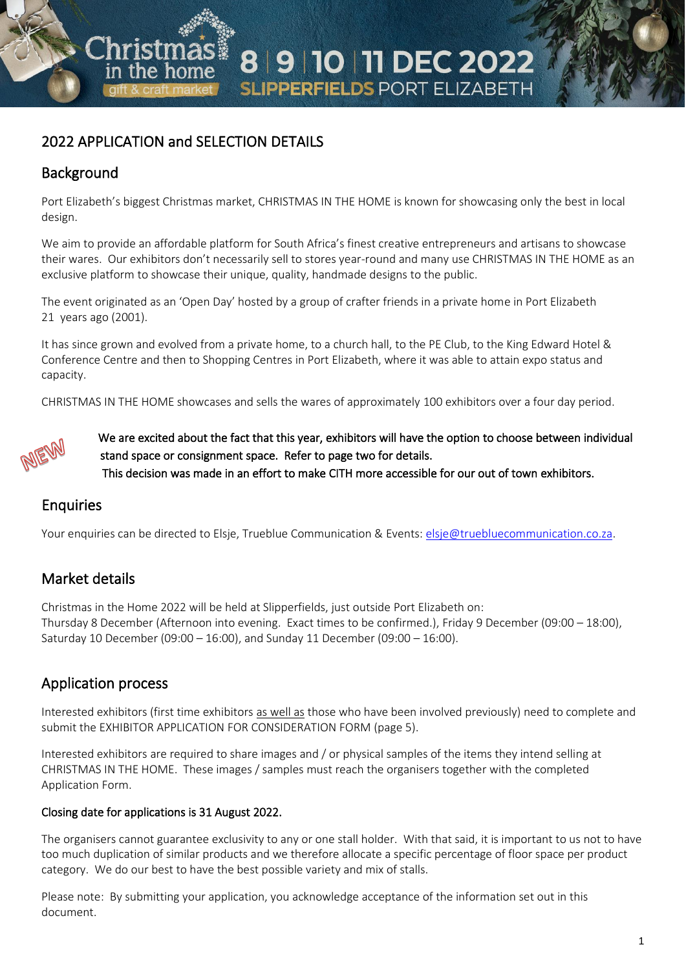# 2022 APPLICATION and SELECTION DETAILS

# Background

Port Elizabeth's biggest Christmas market, CHRISTMAS IN THE HOME is known for showcasing only the best in local design.

8 9 10 11 DEC 2022

**SLIPPERFIELDS PORT ELIZABETH** 

We aim to provide an affordable platform for South Africa's finest creative entrepreneurs and artisans to showcase their wares. Our exhibitors don't necessarily sell to stores year-round and many use CHRISTMAS IN THE HOME as an exclusive platform to showcase their unique, quality, handmade designs to the public.

The event originated as an 'Open Day' hosted by a group of crafter friends in a private home in Port Elizabeth 21 years ago (2001).

It has since grown and evolved from a private home, to a church hall, to the PE Club, to the King Edward Hotel & Conference Centre and then to Shopping Centres in Port Elizabeth, where it was able to attain expo status and capacity.

CHRISTMAS IN THE HOME showcases and sells the wares of approximately 100 exhibitors over a four day period.



 We are excited about the fact that this year, exhibitors will have the option to choose between individual stand space or consignment space. Refer to page two for details. This decision was made in an effort to make CITH more accessible for our out of town exhibitors.

## Enquiries

Your enquiries can be directed to Elsje, Trueblue Communication & Events: [elsje@truebluecommunication.co.za.](mailto:elsje@truebluecommunication.co.za)

## Market details

Christmas in the Home 2022 will be held at Slipperfields, just outside Port Elizabeth on: Thursday 8 December (Afternoon into evening. Exact times to be confirmed.), Friday 9 December (09:00 – 18:00), Saturday 10 December (09:00 – 16:00), and Sunday 11 December (09:00 – 16:00).

## Application process

Interested exhibitors (first time exhibitors as well as those who have been involved previously) need to complete and submit the EXHIBITOR APPLICATION FOR CONSIDERATION FORM (page 5).

Interested exhibitors are required to share images and / or physical samples of the items they intend selling at CHRISTMAS IN THE HOME. These images / samples must reach the organisers together with the completed Application Form.

### Closing date for applications is 31 August 2022.

The organisers cannot guarantee exclusivity to any or one stall holder. With that said, it is important to us not to have too much duplication of similar products and we therefore allocate a specific percentage of floor space per product category. We do our best to have the best possible variety and mix of stalls.

Please note: By submitting your application, you acknowledge acceptance of the information set out in this document.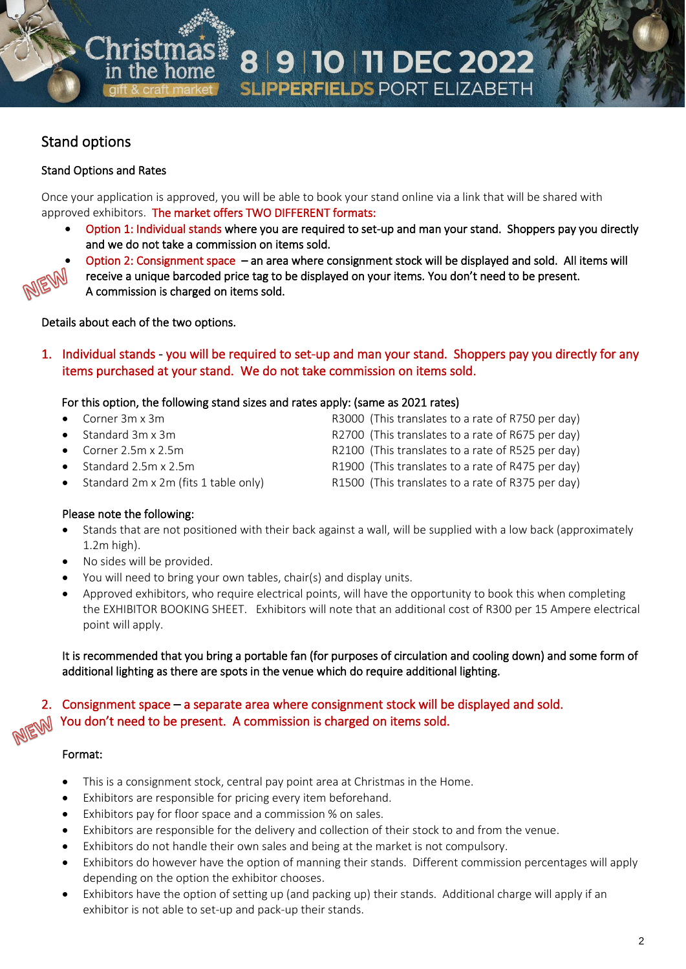# 8 9 10 11 DEC 2022 **SLIPPERFIELDS PORT ELIZABETH**

# Stand options

## Stand Options and Rates

Once your application is approved, you will be able to book your stand online via a link that will be shared with approved exhibitors. The market offers TWO DIFFERENT formats:

• Option 1: Individual stands where you are required to set-up and man your stand. Shoppers pay you directly and we do not take a commission on items sold.



• Option 2: Consignment space – an area where consignment stock will be displayed and sold. All items will

receive a unique barcoded price tag to be displayed on your items. You don't need to be present. A commission is charged on items sold.

Details about each of the two options.

he hom

1. Individual stands - you will be required to set-up and man your stand. Shoppers pay you directly for any items purchased at your stand. We do not take commission on items sold.

## For this option, the following stand sizes and rates apply: (same as 2021 rates)

- Corner 3m x 3m **R3000** (This translates to a rate of R750 per day)
- 
- 
- 
- Standard 2m x 2m (fits 1 table only) R1500 (This translates to a rate of R375 per day)

• Standard 3m x 3m R2700 (This translates to a rate of R675 per day)

- Corner 2.5m x 2.5m R2100 (This translates to a rate of R525 per day)
- Standard 2.5m x 2.5m R1900 (This translates to a rate of R475 per day)
	-

## Please note the following:

- Stands that are not positioned with their back against a wall, will be supplied with a low back (approximately 1.2m high).
- No sides will be provided.
- You will need to bring your own tables, chair(s) and display units.
- Approved exhibitors, who require electrical points, will have the opportunity to book this when completing the EXHIBITOR BOOKING SHEET. Exhibitors will note that an additional cost of R300 per 15 Ampere electrical point will apply.

It is recommended that you bring a portable fan (for purposes of circulation and cooling down) and some form of additional lighting as there are spots in the venue which do require additional lighting.

2. Consignment space – a separate area where consignment stock will be displayed and sold. You don't need to be present. A commission is charged on items sold.

### Format:

- This is a consignment stock, central pay point area at Christmas in the Home.
- Exhibitors are responsible for pricing every item beforehand.
- Exhibitors pay for floor space and a commission % on sales.
- Exhibitors are responsible for the delivery and collection of their stock to and from the venue.
- Exhibitors do not handle their own sales and being at the market is not compulsory.
- Exhibitors do however have the option of manning their stands. Different commission percentages will apply depending on the option the exhibitor chooses.
- Exhibitors have the option of setting up (and packing up) their stands. Additional charge will apply if an exhibitor is not able to set-up and pack-up their stands.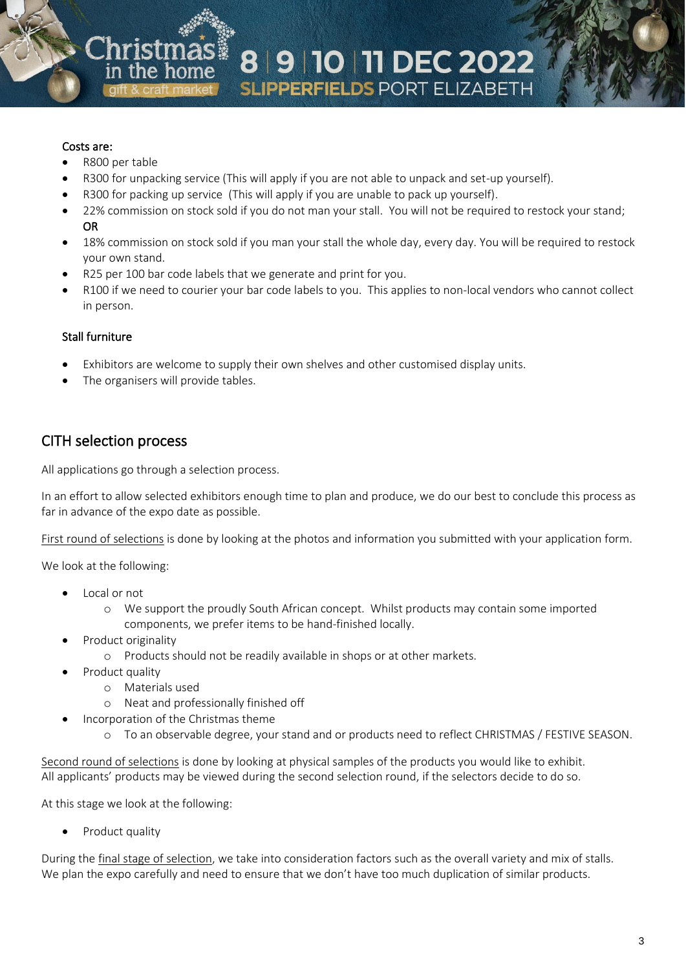#### Costs are:

- R800 per table
- R300 for unpacking service (This will apply if you are not able to unpack and set-up yourself).
- R300 for packing up service (This will apply if you are unable to pack up yourself).
- 22% commission on stock sold if you do not man your stall. You will not be required to restock your stand; OR
- 18% commission on stock sold if you man your stall the whole day, every day. You will be required to restock your own stand.
- R25 per 100 bar code labels that we generate and print for you.
- R100 if we need to courier your bar code labels to you. This applies to non-local vendors who cannot collect in person.

#### Stall furniture

- Exhibitors are welcome to supply their own shelves and other customised display units.
- The organisers will provide tables.

## CITH selection process

All applications go through a selection process.

In an effort to allow selected exhibitors enough time to plan and produce, we do our best to conclude this process as far in advance of the expo date as possible.

First round of selections is done by looking at the photos and information you submitted with your application form.

We look at the following:

- Local or not
	- o We support the proudly South African concept. Whilst products may contain some imported components, we prefer items to be hand-finished locally.
- Product originality
	- o Products should not be readily available in shops or at other markets.
- Product quality
	- o Materials used
	- o Neat and professionally finished off
	- Incorporation of the Christmas theme
		- o To an observable degree, your stand and or products need to reflect CHRISTMAS / FESTIVE SEASON.

Second round of selections is done by looking at physical samples of the products you would like to exhibit. All applicants' products may be viewed during the second selection round, if the selectors decide to do so.

At this stage we look at the following:

Product quality

During the final stage of selection, we take into consideration factors such as the overall variety and mix of stalls. We plan the expo carefully and need to ensure that we don't have too much duplication of similar products.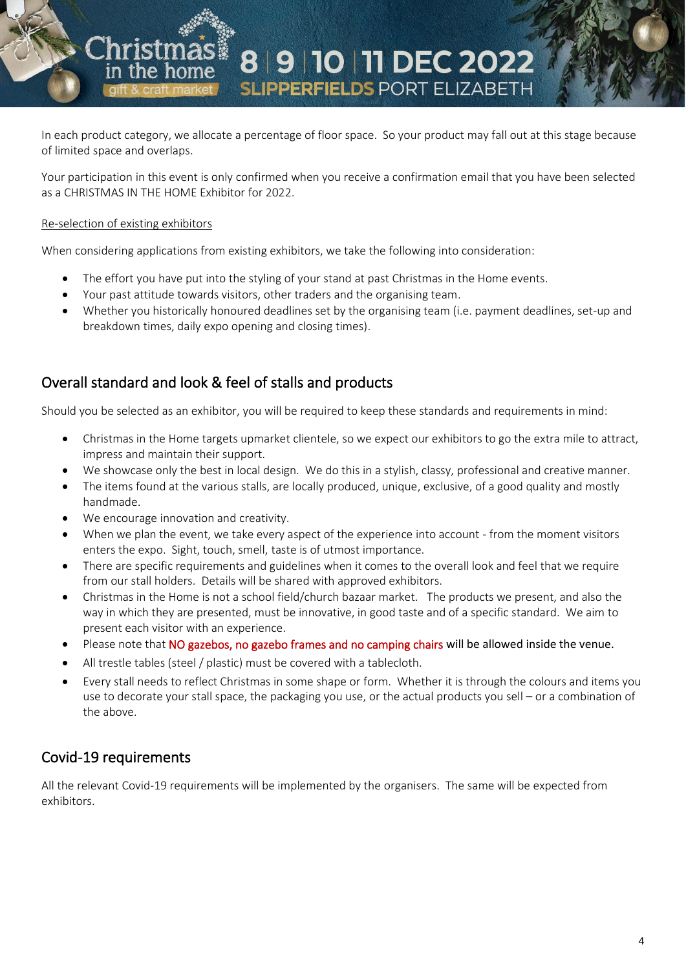In each product category, we allocate a percentage of floor space. So your product may fall out at this stage because of limited space and overlaps.

8 9 10 11 DEC 2022

**SLIPPERFIELDS PORT ELIZABETH** 

Your participation in this event is only confirmed when you receive a confirmation email that you have been selected as a CHRISTMAS IN THE HOME Exhibitor for 2022.

#### Re-selection of existing exhibitors

When considering applications from existing exhibitors, we take the following into consideration:

- The effort you have put into the styling of your stand at past Christmas in the Home events.
- Your past attitude towards visitors, other traders and the organising team.
- Whether you historically honoured deadlines set by the organising team (i.e. payment deadlines, set-up and breakdown times, daily expo opening and closing times).

# Overall standard and look & feel of stalls and products

Should you be selected as an exhibitor, you will be required to keep these standards and requirements in mind:

- Christmas in the Home targets upmarket clientele, so we expect our exhibitors to go the extra mile to attract, impress and maintain their support.
- We showcase only the best in local design. We do this in a stylish, classy, professional and creative manner.
- The items found at the various stalls, are locally produced, unique, exclusive, of a good quality and mostly handmade.
- We encourage innovation and creativity.
- When we plan the event, we take every aspect of the experience into account from the moment visitors enters the expo. Sight, touch, smell, taste is of utmost importance.
- There are specific requirements and guidelines when it comes to the overall look and feel that we require from our stall holders. Details will be shared with approved exhibitors.
- Christmas in the Home is not a school field/church bazaar market. The products we present, and also the way in which they are presented, must be innovative, in good taste and of a specific standard. We aim to present each visitor with an experience.
- Please note that NO gazebos, no gazebo frames and no camping chairs will be allowed inside the venue.
- All trestle tables (steel / plastic) must be covered with a tablecloth.
- Every stall needs to reflect Christmas in some shape or form. Whether it is through the colours and items you use to decorate your stall space, the packaging you use, or the actual products you sell – or a combination of the above.

## Covid-19 requirements

All the relevant Covid-19 requirements will be implemented by the organisers. The same will be expected from exhibitors.